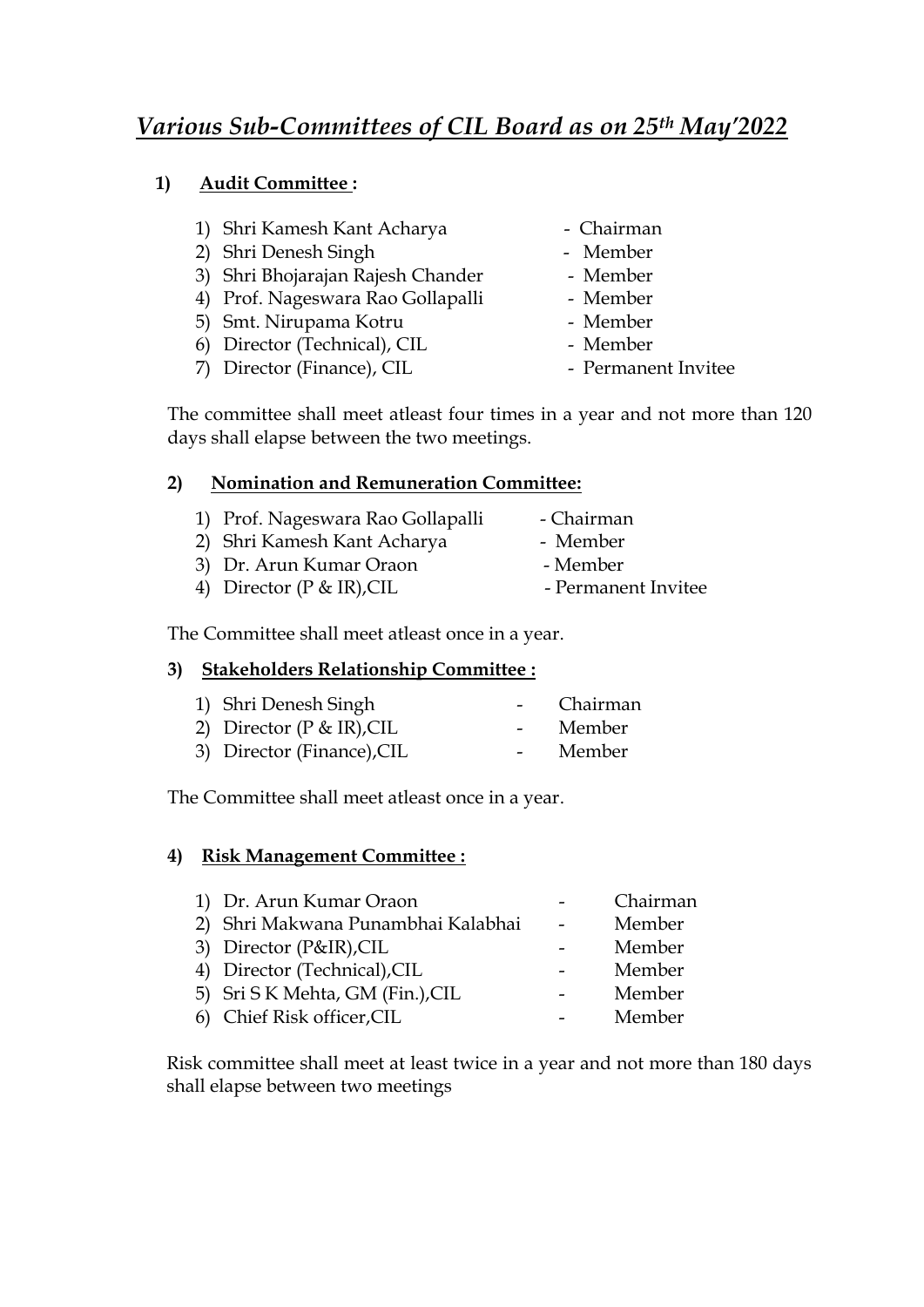## **1) Audit Committee :**

- 1) Shri Kamesh Kant Acharya Chairman
- 2) Shri Denesh Singh Member
- 3) Shri Bhojarajan Rajesh Chander Member
- 4) Prof. Nageswara Rao Gollapalli Member
- 5) Smt. Nirupama Kotru Member
- 6) Director (Technical), CIL Member
- 7) Director (Finance), CIL Permanent Invitee
- 
- 
- 
- 
- 
- 
- 

The committee shall meet atleast four times in a year and not more than 120 days shall elapse between the two meetings.

### **2) Nomination and Remuneration Committee:**

- 1) Prof. Nageswara Rao Gollapalli Chairman
- 2) Shri Kamesh Kant Acharya Member<br>3) Dr. Arun Kumar Oraon Member<br>4) District (D. P. ID) CII Permane 3) Dr. Arun Kumar Oraon
- 
- 4) Director (P & IR), CIL Permanent Invitee

The Committee shall meet atleast once in a year.

### **3) Stakeholders Relationship Committee :**

1) Shri Denesh Singh - Chairman 2) Director (P & IR), CIL - Member 3) Director (Finance), CIL - Member

The Committee shall meet atleast once in a year.

### **4) Risk Management Committee :**

| 1) Dr. Arun Kumar Oraon            | Chairman |
|------------------------------------|----------|
| 2) Shri Makwana Punambhai Kalabhai | Member   |
| 3) Director (P&IR), CIL            | Member   |
| 4) Director (Technical), CIL       | Member   |
| 5) Sri S K Mehta, GM (Fin.), CIL   | Member   |
| 6) Chief Risk officer, CIL         | Member   |

Risk committee shall meet at least twice in a year and not more than 180 days shall elapse between two meetings